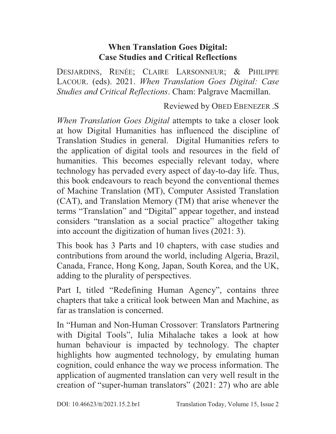## **When Translation Goes Digital: Case Studies and Critical Reflections**

DESJARDINS, RENÉE; CLAIRE LARSONNEUR; & PHILIPPE LACOUR. (eds). 2021. *When Translation Goes Digital: Case Studies and Critical Reflections*. Cham: Palgrave Macmillan.

Reviewed by OBED EBENEZER .S

*When Translation Goes Digital* attempts to take a closer look at how Digital Humanities has influenced the discipline of Translation Studies in general. Digital Humanities refers to the application of digital tools and resources in the field of humanities. This becomes especially relevant today, where technology has pervaded every aspect of day-to-day life. Thus, this book endeavours to reach beyond the conventional themes of Machine Translation (MT), Computer Assisted Translation (CAT), and Translation Memory (TM) that arise whenever the terms "Translation" and "Digital" appear together, and instead considers "translation as a social practice" altogether taking into account the digitization of human lives (2021: 3).

This book has 3 Parts and 10 chapters, with case studies and contributions from around the world, including Algeria, Brazil, Canada, France, Hong Kong, Japan, South Korea, and the UK, adding to the plurality of perspectives.

Part I, titled "Redefining Human Agency", contains three chapters that take a critical look between Man and Machine, as far as translation is concerned.

In "Human and Non-Human Crossover: Translators Partnering with Digital Tools", Iulia Mihalache takes a look at how human behaviour is impacted by technology. The chapter highlights how augmented technology, by emulating human cognition, could enhance the way we process information. The application of augmented translation can very well result in the creation of "super-human translators" (2021: 27) who are able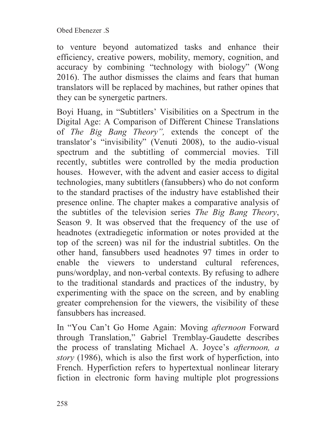to venture beyond automatized tasks and enhance their efficiency, creative powers, mobility, memory, cognition, and accuracy by combining "technology with biology" (Wong 2016). The author dismisses the claims and fears that human translators will be replaced by machines, but rather opines that they can be synergetic partners.

Boyi Huang, in "Subtitlers' Visibilities on a Spectrum in the Digital Age: A Comparison of Different Chinese Translations of *The Big Bang Theory",* extends the concept of the translator's "invisibility" (Venuti 2008), to the audio-visual spectrum and the subtitling of commercial movies. Till recently, subtitles were controlled by the media production houses. However, with the advent and easier access to digital technologies, many subtitlers (fansubbers) who do not conform to the standard practises of the industry have established their presence online. The chapter makes a comparative analysis of the subtitles of the television series *The Big Bang Theory*, Season 9. It was observed that the frequency of the use of headnotes (extradiegetic information or notes provided at the top of the screen) was nil for the industrial subtitles. On the other hand, fansubbers used headnotes 97 times in order to enable the viewers to understand cultural references, puns/wordplay, and non-verbal contexts. By refusing to adhere to the traditional standards and practices of the industry, by experimenting with the space on the screen, and by enabling greater comprehension for the viewers, the visibility of these fansubbers has increased.

In "You Can't Go Home Again: Moving *afternoon* Forward through Translation," Gabriel Tremblay-Gaudette describes the process of translating Michael A. Joyce's *afternoon, a story* (1986), which is also the first work of hyperfiction, into French. Hyperfiction refers to hypertextual nonlinear literary fiction in electronic form having multiple plot progressions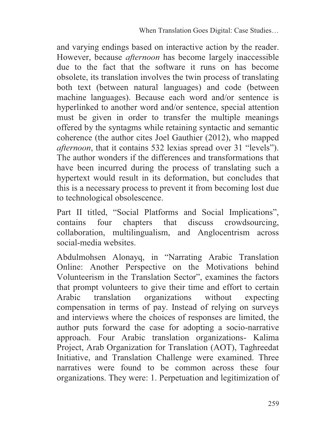and varying endings based on interactive action by the reader. However, because *afternoon* has become largely inaccessible due to the fact that the software it runs on has become obsolete, its translation involves the twin process of translating both text (between natural languages) and code (between machine languages). Because each word and/or sentence is hyperlinked to another word and/or sentence, special attention must be given in order to transfer the multiple meanings offered by the syntagms while retaining syntactic and semantic coherence (the author cites Joel Gauthier (2012), who mapped *afternoon*, that it contains 532 lexias spread over 31 "levels"). The author wonders if the differences and transformations that have been incurred during the process of translating such a hypertext would result in its deformation, but concludes that this is a necessary process to prevent it from becoming lost due to technological obsolescence.

Part II titled, "Social Platforms and Social Implications", contains four chapters that discuss crowdsourcing, collaboration, multilingualism, and Anglocentrism across social-media websites.

Abdulmohsen Alonayq, in "Narrating Arabic Translation Online: Another Perspective on the Motivations behind Volunteerism in the Translation Sector", examines the factors that prompt volunteers to give their time and effort to certain Arabic translation organizations without expecting compensation in terms of pay. Instead of relying on surveys and interviews where the choices of responses are limited, the author puts forward the case for adopting a socio-narrative approach. Four Arabic translation organizations- Kalima Project, Arab Organization for Translation (AOT), Taghreedat Initiative, and Translation Challenge were examined. Three narratives were found to be common across these four organizations. They were: 1. Perpetuation and legitimization of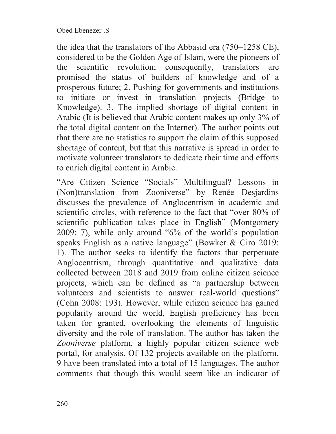the idea that the translators of the Abbasid era (750–1258 CE), considered to be the Golden Age of Islam, were the pioneers of the scientific revolution; consequently, translators are promised the status of builders of knowledge and of a prosperous future; 2. Pushing for governments and institutions to initiate or invest in translation projects (Bridge to Knowledge). 3. The implied shortage of digital content in Arabic (It is believed that Arabic content makes up only 3% of the total digital content on the Internet). The author points out that there are no statistics to support the claim of this supposed shortage of content, but that this narrative is spread in order to motivate volunteer translators to dedicate their time and efforts to enrich digital content in Arabic.

"Are Citizen Science "Socials" Multilingual? Lessons in (Non)translation from Zooniverse" by Renée Desjardins discusses the prevalence of Anglocentrism in academic and scientific circles, with reference to the fact that "over 80% of scientific publication takes place in English" (Montgomery 2009: 7), while only around "6% of the world's population speaks English as a native language" (Bowker & Ciro 2019: 1). The author seeks to identify the factors that perpetuate Anglocentrism, through quantitative and qualitative data collected between 2018 and 2019 from online citizen science projects, which can be defined as "a partnership between volunteers and scientists to answer real-world questions" (Cohn 2008: 193). However, while citizen science has gained popularity around the world, English proficiency has been taken for granted, overlooking the elements of linguistic diversity and the role of translation. The author has taken the *Zooniverse* platform*,* a highly popular citizen science web portal, for analysis. Of 132 projects available on the platform, 9 have been translated into a total of 15 languages. The author comments that though this would seem like an indicator of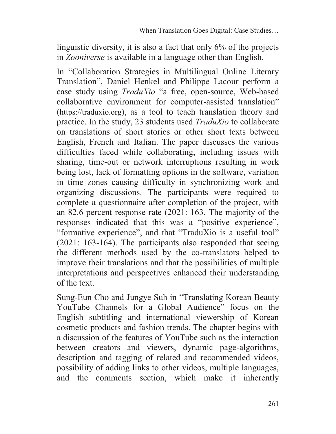linguistic diversity, it is also a fact that only 6% of the projects in *Zooniverse* is available in a language other than English.

In "Collaboration Strategies in Multilingual Online Literary Translation", Daniel Henkel and Philippe Lacour perform a case study using *TraduXio* "a free, open-source, Web-based collaborative environment for computer-assisted translation" (https://traduxio.org), as a tool to teach translation theory and practice. In the study, 23 students used *TraduXio* to collaborate on translations of short stories or other short texts between English, French and Italian. The paper discusses the various difficulties faced while collaborating, including issues with sharing, time-out or network interruptions resulting in work being lost, lack of formatting options in the software, variation in time zones causing difficulty in synchronizing work and organizing discussions. The participants were required to complete a questionnaire after completion of the project, with an 82.6 percent response rate (2021: 163. The majority of the responses indicated that this was a "positive experience", "formative experience", and that "TraduXio is a useful tool" (2021: 163-164). The participants also responded that seeing the different methods used by the co-translators helped to improve their translations and that the possibilities of multiple interpretations and perspectives enhanced their understanding of the text.

Sung-Eun Cho and Jungye Suh in "Translating Korean Beauty YouTube Channels for a Global Audience" focus on the English subtitling and international viewership of Korean cosmetic products and fashion trends. The chapter begins with a discussion of the features of YouTube such as the interaction between creators and viewers, dynamic page-algorithms, description and tagging of related and recommended videos, possibility of adding links to other videos, multiple languages, and the comments section, which make it inherently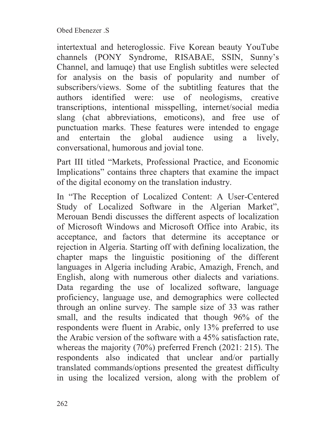intertextual and heteroglossic. Five Korean beauty YouTube channels (PONY Syndrome, RISABAE, SSIN, Sunny's Channel, and lamuqe) that use English subtitles were selected for analysis on the basis of popularity and number of subscribers/views. Some of the subtitling features that the authors identified were: use of neologisms, creative transcriptions, intentional misspelling, internet/social media slang (chat abbreviations, emoticons), and free use of punctuation marks. These features were intended to engage and entertain the global audience using a lively, conversational, humorous and jovial tone.

Part III titled "Markets, Professional Practice, and Economic Implications" contains three chapters that examine the impact of the digital economy on the translation industry.

In "The Reception of Localized Content: A User-Centered Study of Localized Software in the Algerian Market", Merouan Bendi discusses the different aspects of localization of Microsoft Windows and Microsoft Office into Arabic, its acceptance, and factors that determine its acceptance or rejection in Algeria. Starting off with defining localization, the chapter maps the linguistic positioning of the different languages in Algeria including Arabic, Amazigh, French, and English, along with numerous other dialects and variations. Data regarding the use of localized software, language proficiency, language use, and demographics were collected through an online survey. The sample size of 33 was rather small, and the results indicated that though 96% of the respondents were fluent in Arabic, only 13% preferred to use the Arabic version of the software with a 45% satisfaction rate, whereas the majority (70%) preferred French (2021: 215). The respondents also indicated that unclear and/or partially translated commands/options presented the greatest difficulty in using the localized version, along with the problem of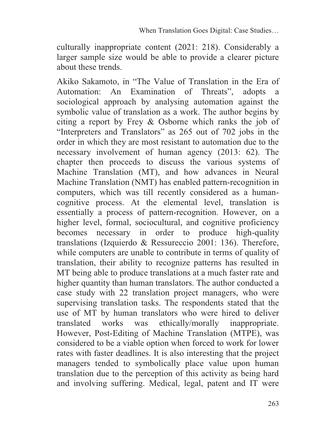culturally inappropriate content (2021: 218). Considerably a larger sample size would be able to provide a clearer picture about these trends.

Akiko Sakamoto, in "The Value of Translation in the Era of Automation: An Examination of Threats", adopts a sociological approach by analysing automation against the symbolic value of translation as a work. The author begins by citing a report by Frey & Osborne which ranks the job of "Interpreters and Translators" as 265 out of 702 jobs in the order in which they are most resistant to automation due to the necessary involvement of human agency (2013: 62). The chapter then proceeds to discuss the various systems of Machine Translation (MT), and how advances in Neural Machine Translation (NMT) has enabled pattern-recognition in computers, which was till recently considered as a humancognitive process. At the elemental level, translation is essentially a process of pattern-recognition. However, on a higher level, formal, sociocultural, and cognitive proficiency becomes necessary in order to produce high-quality translations (Izquierdo & Ressureccio 2001: 136). Therefore, while computers are unable to contribute in terms of quality of translation, their ability to recognize patterns has resulted in MT being able to produce translations at a much faster rate and higher quantity than human translators. The author conducted a case study with 22 translation project managers, who were supervising translation tasks. The respondents stated that the use of MT by human translators who were hired to deliver translated works was ethically/morally inappropriate. However, Post-Editing of Machine Translation (MTPE), was considered to be a viable option when forced to work for lower rates with faster deadlines. It is also interesting that the project managers tended to symbolically place value upon human translation due to the perception of this activity as being hard and involving suffering. Medical, legal, patent and IT were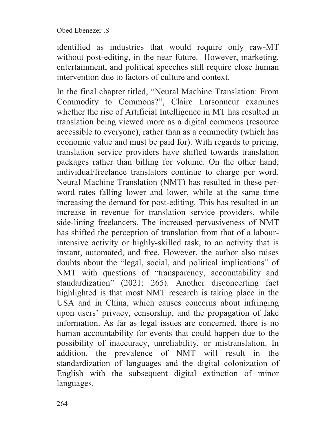Obed Ebenezer .S

identified as industries that would require only raw-MT without post-editing, in the near future. However, marketing, entertainment, and political speeches still require close human intervention due to factors of culture and context.

In the final chapter titled, "Neural Machine Translation: From Commodity to Commons?", Claire Larsonneur examines whether the rise of Artificial Intelligence in MT has resulted in translation being viewed more as a digital commons (resource accessible to everyone), rather than as a commodity (which has economic value and must be paid for). With regards to pricing, translation service providers have shifted towards translation packages rather than billing for volume. On the other hand, individual/freelance translators continue to charge per word. Neural Machine Translation (NMT) has resulted in these perword rates falling lower and lower, while at the same time increasing the demand for post-editing. This has resulted in an increase in revenue for translation service providers, while side-lining freelancers. The increased pervasiveness of NMT has shifted the perception of translation from that of a labourintensive activity or highly-skilled task, to an activity that is instant, automated, and free. However, the author also raises doubts about the "legal, social, and political implications" of NMT with questions of "transparency, accountability and standardization" (2021: 265). Another disconcerting fact highlighted is that most NMT research is taking place in the USA and in China, which causes concerns about infringing upon users' privacy, censorship, and the propagation of fake information. As far as legal issues are concerned, there is no human accountability for events that could happen due to the possibility of inaccuracy, unreliability, or mistranslation. In addition, the prevalence of NMT will result in the standardization of languages and the digital colonization of English with the subsequent digital extinction of minor languages.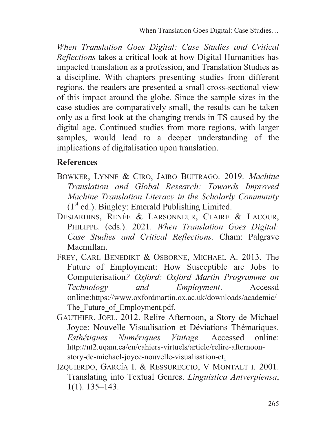*When Translation Goes Digital: Case Studies and Critical Reflections* takes a critical look at how Digital Humanities has impacted translation as a profession, and Translation Studies as a discipline. With chapters presenting studies from different regions, the readers are presented a small cross-sectional view of this impact around the globe. Since the sample sizes in the case studies are comparatively small, the results can be taken only as a first look at the changing trends in TS caused by the digital age. Continued studies from more regions, with larger samples, would lead to a deeper understanding of the implications of digitalisation upon translation.

## **References**

- BOWKER, LYNNE & CIRO, JAIRO BUITRAGO. 2019. *Machine Translation and Global Research: Towards Improved Machine Translation Literacy in the Scholarly Community*  $(1<sup>st</sup>$  ed.). Bingley: Emerald Publishing Limited.
- DESJARDINS, RENÉE & LARSONNEUR, CLAIRE & LACOUR, PHILIPPE. (eds.). 2021. *When Translation Goes Digital: Case Studies and Critical Reflections*. Cham: Palgrave Macmillan.
- FREY, CARL BENEDIKT & OSBORNE, MICHAEL A. 2013. The Future of Employment: How Susceptible are Jobs to Computerisation*? Oxford: Oxford Martin Programme on Technology and Employment*. Accessd online:https://www.oxfordmartin.ox.ac.uk/downloads/academic/ The Future of Employment.pdf.
- GAUTHIER, JOEL. 2012. Relire Afternoon, a Story de Michael Joyce: Nouvelle Visualisation et Déviations Thématiques. *Esthétiques Numériques Vintage.* Accessed online: http://nt2.uqam.ca/en/cahiers-virtuels/article/relire-afternoonstory-de-michael-joyce-nouvelle-visualisation-et.
- IZQUIERDO, GARCÍA I. & RESSURECCIO, V MONTALT I. 2001. Translating into Textual Genres. *Linguistica Antverpiensa*, 1(1). 135–143.